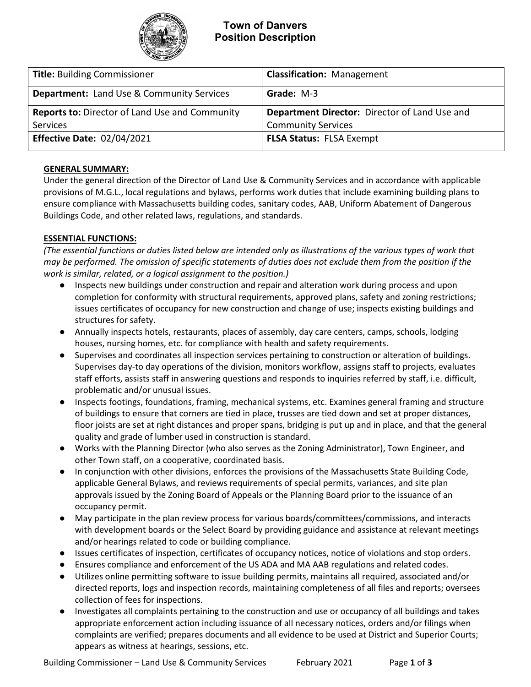

| <b>Title: Building Commissioner</b>                   | <b>Classification: Management</b>             |  |
|-------------------------------------------------------|-----------------------------------------------|--|
| <b>Department:</b> Land Use & Community Services      | <b>Grade: M-3</b>                             |  |
| <b>Reports to: Director of Land Use and Community</b> | Department Director: Director of Land Use and |  |
| Services                                              | <b>Community Services</b>                     |  |
| <b>Effective Date: 02/04/2021</b>                     | <b>FLSA Status: FLSA Exempt</b>               |  |

#### **GENERAL SUMMARY:**

Under the general direction of the Director of Land Use & Community Services and in accordance with applicable provisions of M.G.L., local regulations and bylaws, performs work duties that include examining building plans to ensure compliance with Massachusetts building codes, sanitary codes, AAB, Uniform Abatement of Dangerous Buildings Code, and other related laws, regulations, and standards.

## **ESSENTIAL FUNCTIONS:**

*(The essential functions or duties listed below are intended only as illustrations of the various types of work that may be performed. The omission of specific statements of duties does not exclude them from the position if the work is similar, related, or a logical assignment to the position.)*

- Inspects new buildings under construction and repair and alteration work during process and upon completion for conformity with structural requirements, approved plans, safety and zoning restrictions; issues certificates of occupancy for new construction and change of use; inspects existing buildings and structures for safety.
- Annually inspects hotels, restaurants, places of assembly, day care centers, camps, schools, lodging houses, nursing homes, etc. for compliance with health and safety requirements.
- Supervises and coordinates all inspection services pertaining to construction or alteration of buildings. Supervises day-to day operations of the division, monitors workflow, assigns staff to projects, evaluates staff efforts, assists staff in answering questions and responds to inquiries referred by staff, i.e. difficult, problematic and/or unusual issues.
- Inspects footings, foundations, framing, mechanical systems, etc. Examines general framing and structure of buildings to ensure that corners are tied in place, trusses are tied down and set at proper distances, floor joists are set at right distances and proper spans, bridging is put up and in place, and that the general quality and grade of lumber used in construction is standard.
- Works with the Planning Director (who also serves as the Zoning Administrator), Town Engineer, and other Town staff, on a cooperative, coordinated basis.
- In conjunction with other divisions, enforces the provisions of the Massachusetts State Building Code, applicable General Bylaws, and reviews requirements of special permits, variances, and site plan approvals issued by the Zoning Board of Appeals or the Planning Board prior to the issuance of an occupancy permit.
- May participate in the plan review process for various boards/committees/commissions, and interacts with development boards or the Select Board by providing guidance and assistance at relevant meetings and/or hearings related to code or building compliance.
- Issues certificates of inspection, certificates of occupancy notices, notice of violations and stop orders.
- Ensures compliance and enforcement of the US ADA and MA AAB regulations and related codes.
- Utilizes online permitting software to issue building permits, maintains all required, associated and/or directed reports, logs and inspection records, maintaining completeness of all files and reports; oversees collection of fees for inspections.
- Investigates all complaints pertaining to the construction and use or occupancy of all buildings and takes appropriate enforcement action including issuance of all necessary notices, orders and/or filings when complaints are verified; prepares documents and all evidence to be used at District and Superior Courts; appears as witness at hearings, sessions, etc.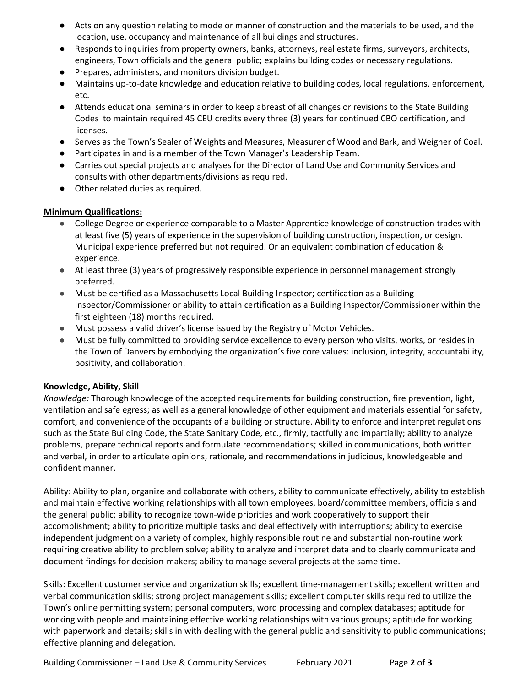- Acts on any question relating to mode or manner of construction and the materials to be used, and the location, use, occupancy and maintenance of all buildings and structures.
- Responds to inquiries from property owners, banks, attorneys, real estate firms, surveyors, architects, engineers, Town officials and the general public; explains building codes or necessary regulations.
- Prepares, administers, and monitors division budget.
- Maintains up-to-date knowledge and education relative to building codes, local regulations, enforcement, etc.
- Attends educational seminars in order to keep abreast of all changes or revisions to the State Building Codes to maintain required 45 CEU credits every three (3) years for continued CBO certification, and licenses.
- Serves as the Town's Sealer of Weights and Measures, Measurer of Wood and Bark, and Weigher of Coal.
- Participates in and is a member of the Town Manager's Leadership Team.
- Carries out special projects and analyses for the Director of Land Use and Community Services and consults with other departments/divisions as required.
- Other related duties as required.

## **Minimum Qualifications:**

- College Degree or experience comparable to a Master Apprentice knowledge of construction trades with at least five (5) years of experience in the supervision of building construction, inspection, or design. Municipal experience preferred but not required. Or an equivalent combination of education & experience.
- At least three (3) years of progressively responsible experience in personnel management strongly preferred.
- Must be certified as a Massachusetts Local Building Inspector; certification as a Building Inspector/Commissioner or ability to attain certification as a Building Inspector/Commissioner within the first eighteen (18) months required.
- Must possess a valid driver's license issued by the Registry of Motor Vehicles.
- Must be fully committed to providing service excellence to every person who visits, works, or resides in the Town of Danvers by embodying the organization's five core values: inclusion, integrity, accountability, positivity, and collaboration.

#### **Knowledge, Ability, Skill**

*Knowledge:* Thorough knowledge of the accepted requirements for building construction, fire prevention, light, ventilation and safe egress; as well as a general knowledge of other equipment and materials essential for safety, comfort, and convenience of the occupants of a building or structure. Ability to enforce and interpret regulations such as the State Building Code, the State Sanitary Code, etc., firmly, tactfully and impartially; ability to analyze problems, prepare technical reports and formulate recommendations; skilled in communications, both written and verbal, in order to articulate opinions, rationale, and recommendations in judicious, knowledgeable and confident manner.

Ability: Ability to plan, organize and collaborate with others, ability to communicate effectively, ability to establish and maintain effective working relationships with all town employees, board/committee members, officials and the general public; ability to recognize town-wide priorities and work cooperatively to support their accomplishment; ability to prioritize multiple tasks and deal effectively with interruptions; ability to exercise independent judgment on a variety of complex, highly responsible routine and substantial non-routine work requiring creative ability to problem solve; ability to analyze and interpret data and to clearly communicate and document findings for decision-makers; ability to manage several projects at the same time.

Skills: Excellent customer service and organization skills; excellent time-management skills; excellent written and verbal communication skills; strong project management skills; excellent computer skills required to utilize the Town's online permitting system; personal computers, word processing and complex databases; aptitude for working with people and maintaining effective working relationships with various groups; aptitude for working with paperwork and details; skills in with dealing with the general public and sensitivity to public communications; effective planning and delegation.